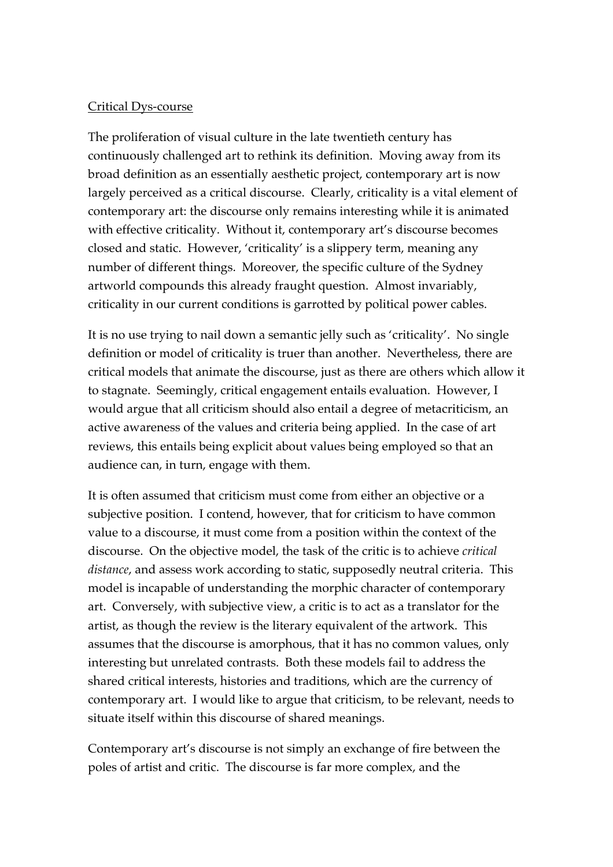## Critical Dys-course

The proliferation of visual culture in the late twentieth century has continuously challenged art to rethink its definition. Moving away from its broad definition as an essentially aesthetic project, contemporary art is now largely perceived as a critical discourse. Clearly, criticality is a vital element of contemporary art: the discourse only remains interesting while it is animated with effective criticality. Without it, contemporary art's discourse becomes closed and static. However, 'criticality' is a slippery term, meaning any number of different things. Moreover, the specific culture of the Sydney artworld compounds this already fraught question. Almost invariably, criticality in our current conditions is garrotted by political power cables.

It is no use trying to nail down a semantic jelly such as 'criticality'. No single definition or model of criticality is truer than another. Nevertheless, there are critical models that animate the discourse, just as there are others which allow it to stagnate. Seemingly, critical engagement entails evaluation. However, I would argue that all criticism should also entail a degree of metacriticism, an active awareness of the values and criteria being applied. In the case of art reviews, this entails being explicit about values being employed so that an audience can, in turn, engage with them.

It is often assumed that criticism must come from either an objective or a subjective position. I contend, however, that for criticism to have common value to a discourse, it must come from a position within the context of the discourse. On the objective model, the task of the critic is to achieve *critical distance*, and assess work according to static, supposedly neutral criteria. This model is incapable of understanding the morphic character of contemporary art. Conversely, with subjective view, a critic is to act as a translator for the artist, as though the review is the literary equivalent of the artwork. This assumes that the discourse is amorphous, that it has no common values, only interesting but unrelated contrasts. Both these models fail to address the shared critical interests, histories and traditions, which are the currency of contemporary art. I would like to argue that criticism, to be relevant, needs to situate itself within this discourse of shared meanings.

Contemporary art's discourse is not simply an exchange of fire between the poles of artist and critic. The discourse is far more complex, and the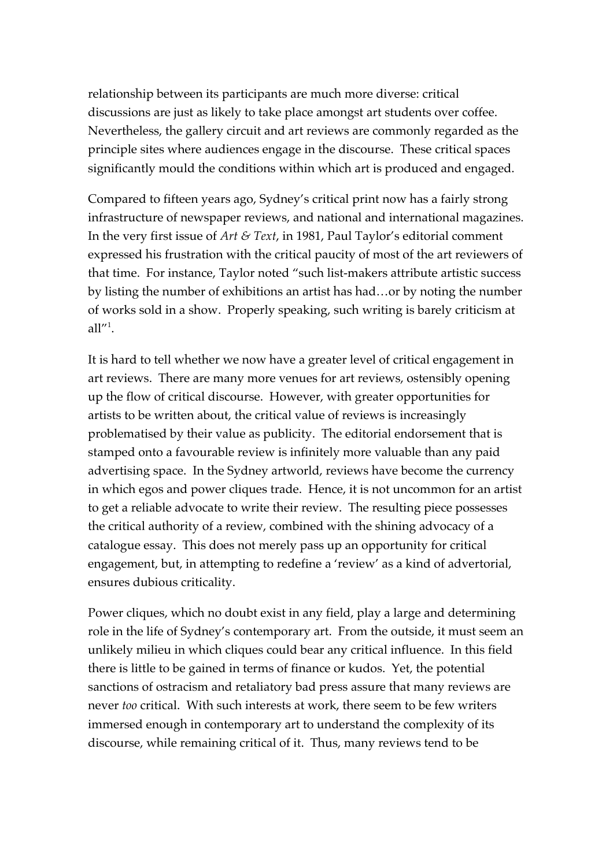relationship between its participants are much more diverse: critical discussions are just as likely to take place amongst art students over coffee. Nevertheless, the gallery circuit and art reviews are commonly regarded as the principle sites where audiences engage in the discourse. These critical spaces significantly mould the conditions within which art is produced and engaged.

Compared to fifteen years ago, Sydney's critical print now has a fairly strong infrastructure of newspaper reviews, and national and international magazines. In the very first issue of *Art & Text*, in 1981, Paul Taylor's editorial comment expressed his frustration with the critical paucity of most of the art reviewers of that time. For instance, Taylor noted "such list-makers attribute artistic success by listing the number of exhibitions an artist has had…or by noting the number of works sold in a show. Properly speaking, such writing is barely criticism at  $all''<sup>1</sup>$ .

It is hard to tell whether we now have a greater level of critical engagement in art reviews. There are many more venues for art reviews, ostensibly opening up the flow of critical discourse. However, with greater opportunities for artists to be written about, the critical value of reviews is increasingly problematised by their value as publicity. The editorial endorsement that is stamped onto a favourable review is infinitely more valuable than any paid advertising space. In the Sydney artworld, reviews have become the currency in which egos and power cliques trade. Hence, it is not uncommon for an artist to get a reliable advocate to write their review. The resulting piece possesses the critical authority of a review, combined with the shining advocacy of a catalogue essay. This does not merely pass up an opportunity for critical engagement, but, in attempting to redefine a 'review' as a kind of advertorial, ensures dubious criticality.

Power cliques, which no doubt exist in any field, play a large and determining role in the life of Sydney's contemporary art. From the outside, it must seem an unlikely milieu in which cliques could bear any critical influence. In this field there is little to be gained in terms of finance or kudos. Yet, the potential sanctions of ostracism and retaliatory bad press assure that many reviews are never *too* critical. With such interests at work, there seem to be few writers immersed enough in contemporary art to understand the complexity of its discourse, while remaining critical of it. Thus, many reviews tend to be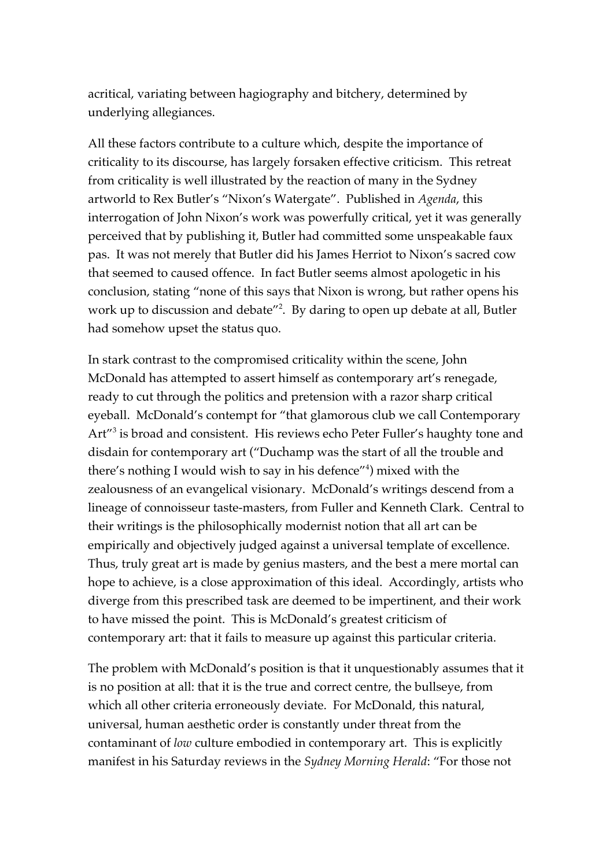acritical, variating between hagiography and bitchery, determined by underlying allegiances.

All these factors contribute to a culture which, despite the importance of criticality to its discourse, has largely forsaken effective criticism. This retreat from criticality is well illustrated by the reaction of many in the Sydney artworld to Rex Butler's "Nixon's Watergate". Published in *Agenda*, this interrogation of John Nixon's work was powerfully critical, yet it was generally perceived that by publishing it, Butler had committed some unspeakable faux pas. It was not merely that Butler did his James Herriot to Nixon's sacred cow that seemed to caused offence. In fact Butler seems almost apologetic in his conclusion, stating "none of this says that Nixon is wrong, but rather opens his work up to discussion and debate<sup>"2</sup>. By daring to open up debate at all, Butler had somehow upset the status quo.

In stark contrast to the compromised criticality within the scene, John McDonald has attempted to assert himself as contemporary art's renegade, ready to cut through the politics and pretension with a razor sharp critical eyeball. McDonald's contempt for "that glamorous club we call Contemporary Art<sup>"3</sup> is broad and consistent. His reviews echo Peter Fuller's haughty tone and disdain for contemporary art ("Duchamp was the start of all the trouble and there's nothing I would wish to say in his defence"<sup>4</sup> ) mixed with the zealousness of an evangelical visionary. McDonald's writings descend from a lineage of connoisseur taste-masters, from Fuller and Kenneth Clark. Central to their writings is the philosophically modernist notion that all art can be empirically and objectively judged against a universal template of excellence. Thus, truly great art is made by genius masters, and the best a mere mortal can hope to achieve, is a close approximation of this ideal. Accordingly, artists who diverge from this prescribed task are deemed to be impertinent, and their work to have missed the point. This is McDonald's greatest criticism of contemporary art: that it fails to measure up against this particular criteria.

The problem with McDonald's position is that it unquestionably assumes that it is no position at all: that it is the true and correct centre, the bullseye, from which all other criteria erroneously deviate. For McDonald, this natural, universal, human aesthetic order is constantly under threat from the contaminant of *low* culture embodied in contemporary art. This is explicitly manifest in his Saturday reviews in the *Sydney Morning Herald*: "For those not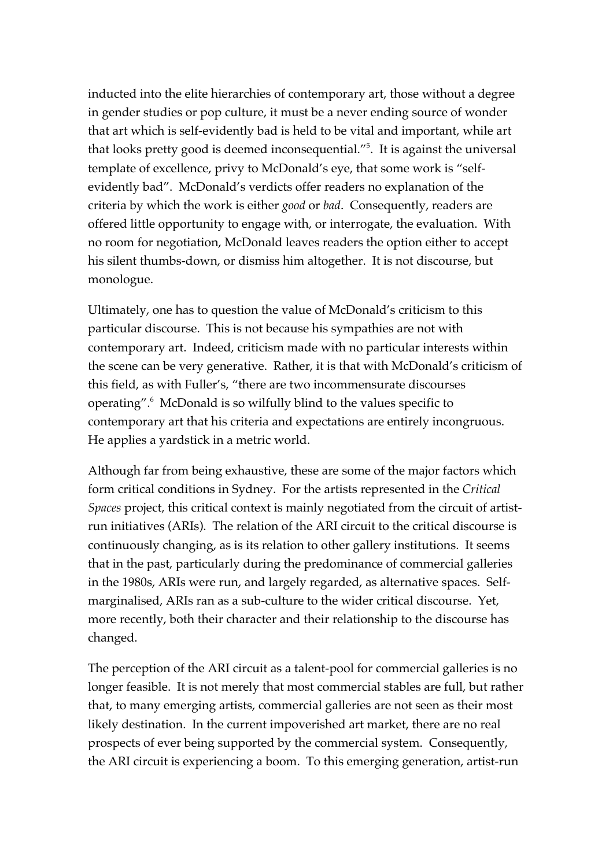inducted into the elite hierarchies of contemporary art, those without a degree in gender studies or pop culture, it must be a never ending source of wonder that art which is self-evidently bad is held to be vital and important, while art that looks pretty good is deemed inconsequential."<sup>5</sup>. It is against the universal template of excellence, privy to McDonald's eye, that some work is "selfevidently bad". McDonald's verdicts offer readers no explanation of the criteria by which the work is either *good* or *bad*. Consequently, readers are offered little opportunity to engage with, or interrogate, the evaluation. With no room for negotiation, McDonald leaves readers the option either to accept his silent thumbs-down, or dismiss him altogether. It is not discourse, but monologue.

Ultimately, one has to question the value of McDonald's criticism to this particular discourse. This is not because his sympathies are not with contemporary art. Indeed, criticism made with no particular interests within the scene can be very generative. Rather, it is that with McDonald's criticism of this field, as with Fuller's, "there are two incommensurate discourses operating".<sup>6</sup> McDonald is so wilfully blind to the values specific to contemporary art that his criteria and expectations are entirely incongruous. He applies a yardstick in a metric world.

Although far from being exhaustive, these are some of the major factors which form critical conditions in Sydney. For the artists represented in the *Critical Spaces* project, this critical context is mainly negotiated from the circuit of artistrun initiatives (ARIs). The relation of the ARI circuit to the critical discourse is continuously changing, as is its relation to other gallery institutions. It seems that in the past, particularly during the predominance of commercial galleries in the 1980s, ARIs were run, and largely regarded, as alternative spaces. Selfmarginalised, ARIs ran as a sub-culture to the wider critical discourse. Yet, more recently, both their character and their relationship to the discourse has changed.

The perception of the ARI circuit as a talent-pool for commercial galleries is no longer feasible. It is not merely that most commercial stables are full, but rather that, to many emerging artists, commercial galleries are not seen as their most likely destination. In the current impoverished art market, there are no real prospects of ever being supported by the commercial system. Consequently, the ARI circuit is experiencing a boom. To this emerging generation, artist-run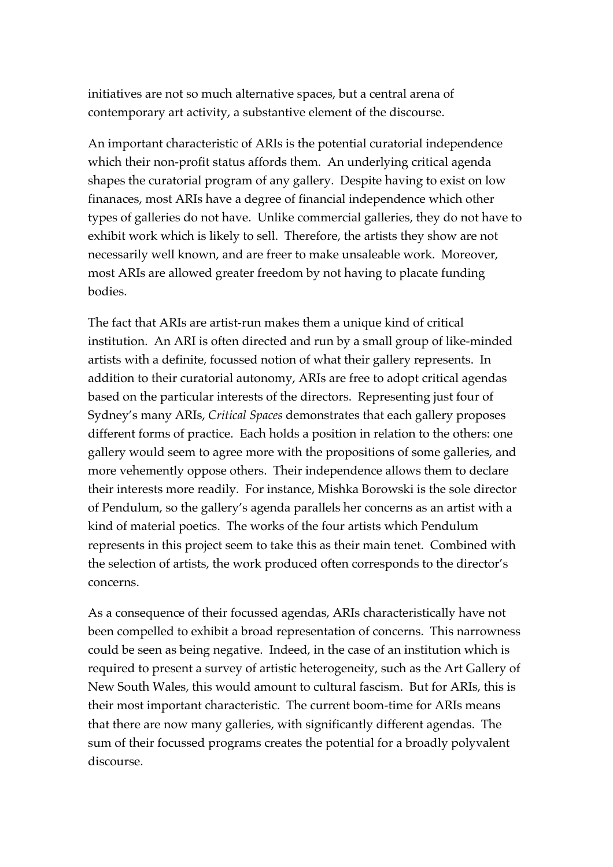initiatives are not so much alternative spaces, but a central arena of contemporary art activity, a substantive element of the discourse.

An important characteristic of ARIs is the potential curatorial independence which their non-profit status affords them. An underlying critical agenda shapes the curatorial program of any gallery. Despite having to exist on low finanaces, most ARIs have a degree of financial independence which other types of galleries do not have. Unlike commercial galleries, they do not have to exhibit work which is likely to sell. Therefore, the artists they show are not necessarily well known, and are freer to make unsaleable work. Moreover, most ARIs are allowed greater freedom by not having to placate funding bodies.

The fact that ARIs are artist-run makes them a unique kind of critical institution. An ARI is often directed and run by a small group of like-minded artists with a definite, focussed notion of what their gallery represents. In addition to their curatorial autonomy, ARIs are free to adopt critical agendas based on the particular interests of the directors. Representing just four of Sydney's many ARIs, *Critical Spaces* demonstrates that each gallery proposes different forms of practice. Each holds a position in relation to the others: one gallery would seem to agree more with the propositions of some galleries, and more vehemently oppose others. Their independence allows them to declare their interests more readily. For instance, Mishka Borowski is the sole director of Pendulum, so the gallery's agenda parallels her concerns as an artist with a kind of material poetics. The works of the four artists which Pendulum represents in this project seem to take this as their main tenet. Combined with the selection of artists, the work produced often corresponds to the director's concerns.

As a consequence of their focussed agendas, ARIs characteristically have not been compelled to exhibit a broad representation of concerns. This narrowness could be seen as being negative. Indeed, in the case of an institution which is required to present a survey of artistic heterogeneity, such as the Art Gallery of New South Wales, this would amount to cultural fascism. But for ARIs, this is their most important characteristic. The current boom-time for ARIs means that there are now many galleries, with significantly different agendas. The sum of their focussed programs creates the potential for a broadly polyvalent discourse.